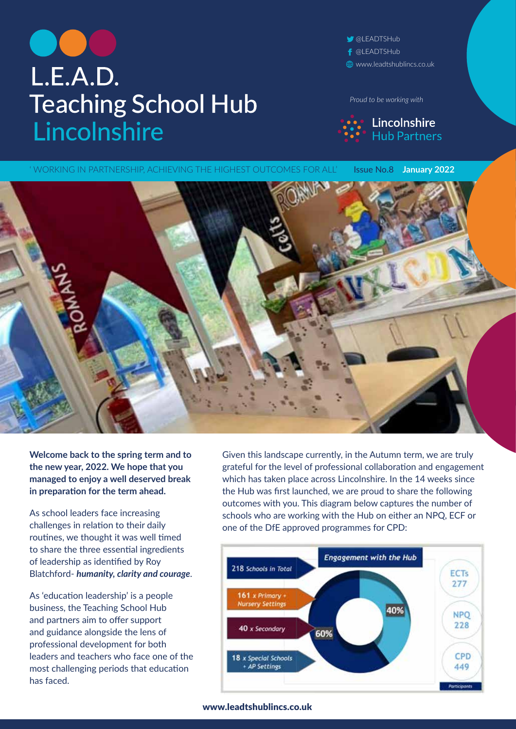# L.E.A.D. **Teaching School Hub** Lincolnshire

**@LEADTSHub** f @LEADTSHub www.leadtshublincs.co.uk

*Proud to be working with*



' WORKING IN PARTNERSHIP, ACHIEVING THE HIGHEST OUTCOMES FOR ALL' **Issue No.8 January 2022** 

**Welcome back to the spring term and to the new year, 2022. We hope that you managed to enjoy a well deserved break in preparation for the term ahead.** 

As school leaders face increasing challenges in relation to their daily routines, we thought it was well timed to share the three essential ingredients of leadership as identified by Roy Blatchford- *humanity, clarity and courage*.

As 'education leadership' is a people business, the Teaching School Hub and partners aim to offer support and guidance alongside the lens of professional development for both leaders and teachers who face one of the most challenging periods that education has faced.

Given this landscape currently, in the Autumn term, we are truly grateful for the level of professional collaboration and engagement which has taken place across Lincolnshire. In the 14 weeks since the Hub was first launched, we are proud to share the following outcomes with you. This diagram below captures the number of schools who are working with the Hub on either an NPQ, ECF or one of the DfE approved programmes for CPD:

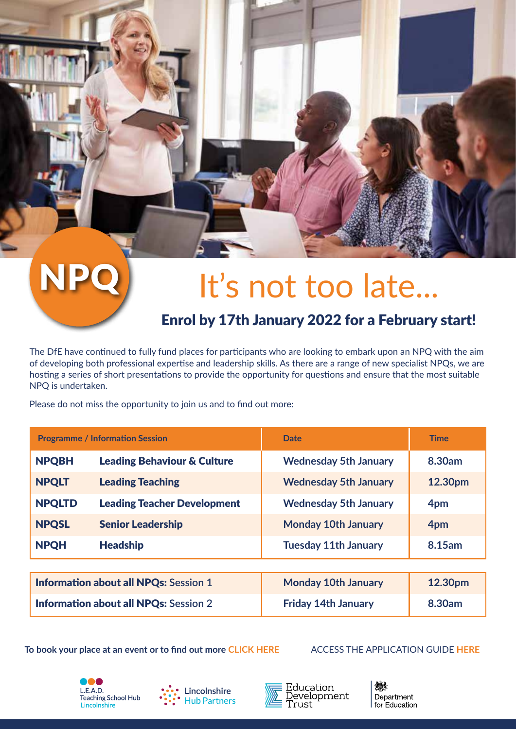# NPQ It's not too late...

### Enrol by 17th January 2022 for a February start!

The DfE have continued to fully fund places for participants who are looking to embark upon an NPQ with the aim of developing both professional expertise and leadership skills. As there are a range of new specialist NPQs, we are hosting a series of short presentations to provide the opportunity for questions and ensure that the most suitable NPQ is undertaken.

Please do not miss the opportunity to join us and to find out more:

| <b>Programme / Information Session</b>       |                                        | <b>Date</b>                  | <b>Time</b> |
|----------------------------------------------|----------------------------------------|------------------------------|-------------|
| <b>NPQBH</b>                                 | <b>Leading Behaviour &amp; Culture</b> | <b>Wednesday 5th January</b> | 8.30am      |
| <b>NPQLT</b>                                 | <b>Leading Teaching</b>                | <b>Wednesday 5th January</b> | 12.30pm     |
| <b>NPQLTD</b>                                | <b>Leading Teacher Development</b>     | <b>Wednesday 5th January</b> | 4pm         |
| <b>NPQSL</b>                                 | <b>Senior Leadership</b>               | <b>Monday 10th January</b>   | 4pm         |
| <b>NPQH</b>                                  | <b>Headship</b>                        | <b>Tuesday 11th January</b>  | 8.15am      |
|                                              |                                        |                              |             |
| <b>Information about all NPQs: Session 1</b> |                                        | <b>Monday 10th January</b>   | 12.30pm     |
| <b>Information about all NPQs: Session 2</b> |                                        | <b>Friday 14th January</b>   | 8.30am      |

To book your place at an event or to find out more **[CLICK HERE](https://www.leadtshublincs.co.uk/page/?title=NPQ+Programmes&pid=23)** ACCESS THE APPLICATION GUIDE HERE







池川 Department for Education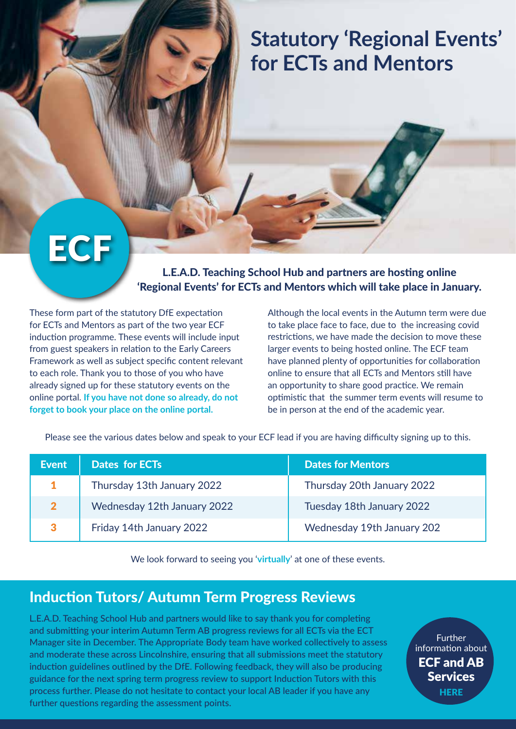## **Statutory 'Regional Events' for ECTs and Mentors**

# **ECF**

L.E.A.D. Teaching School Hub and partners are hosting online 'Regional Events' for ECTs and Mentors which will take place in January.

These form part of the statutory DfE expectation for ECTs and Mentors as part of the two year ECF induction programme. These events will include input from guest speakers in relation to the Early Careers Framework as well as subject specific content relevant to each role. Thank you to those of you who have already signed up for these statutory events on the online portal. **If you have not done so already, do not forget to book your place on the online portal.**

Although the local events in the Autumn term were due to take place face to face, due to the increasing covid restrictions, we have made the decision to move these larger events to being hosted online. The ECF team have planned plenty of opportunities for collaboration online to ensure that all ECTs and Mentors still have an opportunity to share good practice. We remain optimistic that the summer term events will resume to be in person at the end of the academic year.

Please see the various dates below and speak to your ECF lead if you are having difficulty signing up to this.

| <b>Event</b> | <b>Dates for ECTs</b>       | <b>Dates for Mentors</b>   |
|--------------|-----------------------------|----------------------------|
| $\mathbf{1}$ | Thursday 13th January 2022  | Thursday 20th January 2022 |
| $\mathbf{2}$ | Wednesday 12th January 2022 | Tuesday 18th January 2022  |
| 3            | Friday 14th January 2022    | Wednesday 19th January 202 |

We look forward to seeing you '**virtually**' at one of these events.

### Induction Tutors/ Autumn Term Progress Reviews

L.E.A.D. Teaching School Hub and partners would like to say thank you for completing and submitting your interim Autumn Term AB progress reviews for all ECTs via the ECT Manager site in December. The Appropriate Body team have worked collectively to assess and moderate these across Lincolnshire, ensuring that all submissions meet the statutory induction guidelines outlined by the DfE. Following feedback, they will also be producing guidance for the next spring term progress review to support Induction Tutors with this process further. Please do not hesitate to contact your local AB leader if you have any further questions regarding the assessment points.

**Further** information about [ECF and AB](https://www.leadtshublincs.co.uk/page/?title=ITT%2FEarly+Career%2FAB&pid=7)  Services **HERE**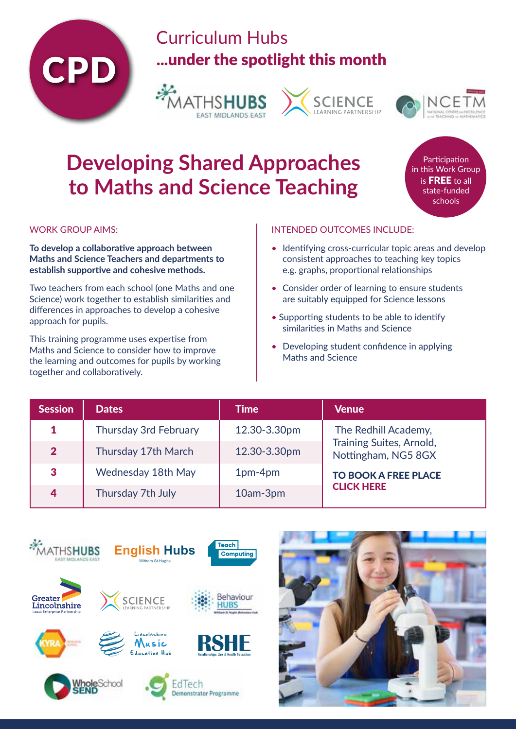

## Curriculum Hubs ...under the spotlight this month







## **Developing Shared Approaches to Maths and Science Teaching**

**Participation** in this Work Group is FREE to all state-funded schools

WORK GROUP AIMS:

**To develop a collaborative approach between Maths and Science Teachers and departments to establish supportive and cohesive methods.**

Two teachers from each school (one Maths and one Science) work together to establish similarities and differences in approaches to develop a cohesive approach for pupils.

This training programme uses expertise from Maths and Science to consider how to improve the learning and outcomes for pupils by working together and collaboratively.

#### INTENDED OUTCOMES INCLUDE:

- [Identifying cross-curricular topic areas and develop](https://bookwhen.com/ememathshub/e/ev-scw5-20220203123000)  consistent approaches to teaching key topics e.g. graphs, proportional relationships
- Consider order of learning to ensure students are suitably equipped for Science lessons
- Supporting students to be able to identify similarities in Maths and Science
- Developing student confidence in applying Maths and Science

| <b>Session</b> | <b>Dates</b>                 | <b>Time</b>  | <b>Venue</b>                                           |  |
|----------------|------------------------------|--------------|--------------------------------------------------------|--|
|                | <b>Thursday 3rd February</b> | 12.30-3.30pm | The Redhill Academy,                                   |  |
| $\overline{2}$ | Thursday 17th March          | 12.30-3.30pm | <b>Training Suites, Arnold,</b><br>Nottingham, NG5 8GX |  |
| 3              | Wednesday 18th May           | 1pm-4pm      | <b>TO BOOK A FREE PLACE</b>                            |  |
| 4              | Thursday 7th July            | 10am-3pm     | <b>CLICK HERE</b>                                      |  |